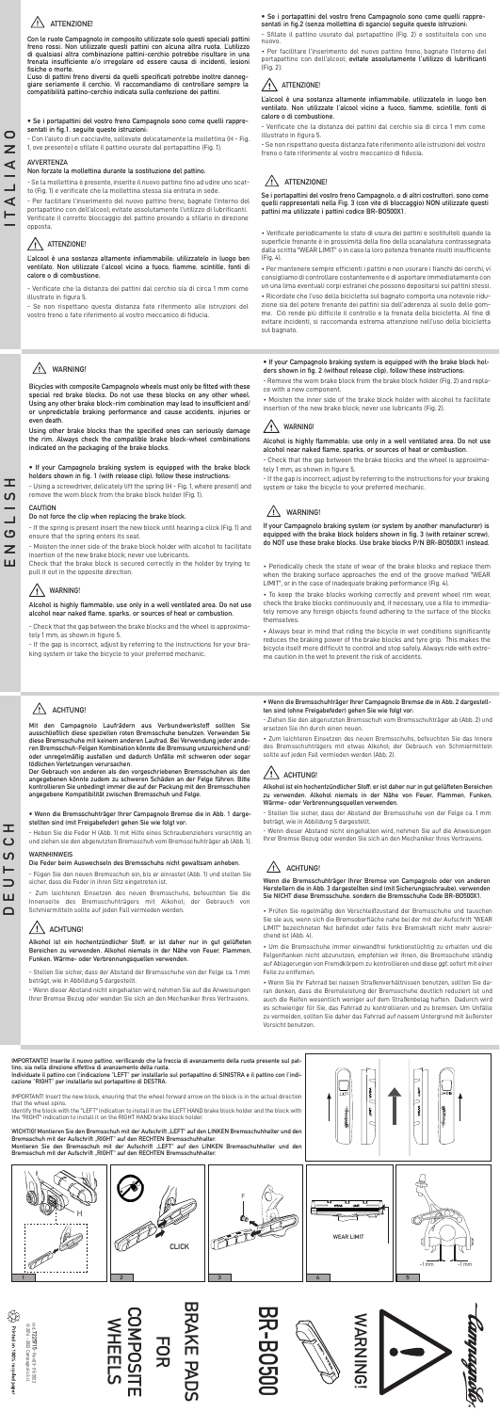cod. **7225715**

- Rev.03- 05/2022





## **ATTENZIONE!**

**Con le ruote Campagnolo in composito utilizzate solo questi speciali pattini freno rossi. Non utilizzate questi pattini con alcuna altra ruota. L'utilizzo di qualsiasi altra combinazione pattini-cerchio potrebbe risultare in una frenata insufficiente e/o irregolare ed essere causa di incidenti, lesioni fisiche o morte.** 

**L'uso di pattini freno diversi da quelli specificati potrebbe inoltre danneggiare seriamente il cerchio. Vi raccomandiamo di controllare sempre la compatibilità pattino-cerchio indicata sulla confezione dei pattini.** 

Per facilitare l'inserimento del nuovo pattino freno, bagnate l'interno del portapattino con dell'alcool; evitate assolutamente l'utilizzo di lubrificanti. Verificate il corretto bloccaggio del pattino provando a sfilarlo in direzione opposta.

#### $/ \mathsf{N}$ **ATTENZIONE!**

## **• Se i portapattini del vostro freno Campagnolo sono come quelli rappresentati in fig.1, seguite queste istruzioni:**

- Con l'aiuto di un cacciavite, sollevate delicatamente la mollettina (H - Fig.

1, ove presente) e sfilate il pattino usurato dal portapattino (Fig. 1).

## **AVVERTENZA**

## **Non forzate la mollettina durante la sostituzione del pattino.**

- Se la mollettina è presente, inserite il nuovo pattino fino ad udire uno scatto (Fig. 1) e verificate che la mollettina stessa sia entrata in sede.

**L'alcool è una sostanza altamente infiammabile; utilizzatelo in luogo ben ventilato. Non utilizzate l'alcool vicino a fuoco, fiamme, scintille, fonti di calore o di combustione.**

## **ATTENZIONE!**  $/ \mathsf{N}$

- Verificate che la distanza dei pattini dal cerchio sia di circa 1 mm come illustrato in figura 5.

- Se non rispettano questa distanza fate riferimento alle istruzioni del vostro freno o fate riferimento al vostro meccanico di fiducia.

# **ATTENZIONE!**

**Se i portapattini del vostro freno Campagnolo, o di altri costruttori, sono come quelli rappresentati nella Fig. 3 (con vite di bloccaggio) NON utilizzate questi pattini ma utilizzate i pattini codice BR-BO500X1.**

• Verificate periodicamente lo stato di usura dei pattini e sostituiteli quando la superficie frenante è in prossimità della fine della scanalatura contrassegnata dalla scritta "WEAR LIMIT" o in caso la loro potenza frenante risulti insufficiente (Fig. 4).

• Per mantenere sempre efficienti i pattini e non usurare i fianchi dei cerchi, vi consigliamo di controllare costantemente e di asportare immediatamente con un una lima eventuali corpi estranei che possono depositarsi sui pattini stessi.

• Ricordate che l'uso della bicicletta sul bagnato comporta una notevole riduzione sia del potere frenante dei pattini sia dell'aderenza al suolo delle gomme. Ciò rende più difficile il controllo e la frenata della bicicletta. Al fine di evitare incidenti, si raccomanda estrema attenzione nell'uso della bicicletta sul bagnato.

## **• Se i portapattini del vostro freno Campagnolo sono come quelli rappresentati in fig.2 (senza mollettina di sgancio) seguite queste istruzioni:**

## **WARNING!** /!`

- Sfilate il pattino usurato dal portapattino (Fig. 2) e sostituitelo con uno nuovo.

• Per facilitare l'inserimento del nuovo pattino freno, bagnate l'interno del portapattino con dell'alcool; **evitate assolutamente l'utilizzo di lubrificanti**  (Fig. 2).

**L'alcool è una sostanza altamente infiammabile; utilizzatelo in luogo ben ventilato. Non utilizzate l'alcool vicino a fuoco, fiamme, scintille, fonti di calore o di combustione.**

- Verificate che la distanza dei pattini dal cerchio sia di circa 1 mm come illustrato in figura 5.

- Se non rispettano questa distanza fate riferimento alle istruzioni del vostro freno o fate riferimento al vostro meccanico di fiducia.

# **WARNING!**

**Bicycles with composite Campagnolo wheels must only be fitted with these special red brake blocks. Do not use these blocks on any other wheel. Using any other brake block-rim combination may lead to insufficient and/ or unpredictable braking performance and cause accidents, injuries or even death.** 

**Using other brake blocks than the specified ones can seriously damage the rim. Always check the compatible brake block-wheel combinations indicated on the packaging of the brake blocks.**

## **• If your Campagnolo braking system is equipped with the brake block holders shown in fig. 1 (with release clip), follow these instructions:**

- Using a screwdriver, delicately lift the spring (H - Fig. 1, where present) and remove the worn block from the brake block holder (Fig. 1).

## **CAUTION**

## **Do not force the clip when replacing the brake block.**

- If the spring is present insert the new block until hearing a click (Fig. 1) and ensure that the spring enters its seat.

- Moisten the inner side of the brake block holder with alcohol to facilitate insertion of the new brake block; never use lubricants.

Check that the brake block is secured correctly in the holder by trying to pull it out in the opposite direction.

## **Alcohol is highly flammable; use only in a well ventilated area. Do not use alcohol near naked flame, sparks, or sources of heat or combustion.**

- Check that the gap between the brake blocks and the wheel is approximately 1 mm, as shown in figure 5.

- If the gap is incorrect, adjust by referring to the instructions for your braking system or take the bicycle to your preferred mechanic.



**If your Campagnolo braking system (or system by another manufacturer) is equipped with the brake block holders shown in fig. 3 (with retainer screw), do NOT use these brake blocks. Use brake blocks P/N BR-BO500X1 instead.**

• Periodically check the state of wear of the brake blocks and replace them when the braking surface approaches the end of the groove marked "WEAR LIMIT", or in the case of inadequate braking performance (Fig. 4).

• To keep the brake blocks working correctly and prevent wheel rim wear, check the brake blocks continuously and, if necessary, use a file to immediately remove any foreign objects found adhering to the surface of the blocks themselves.

• Always bear in mind that riding the bicycle in wet conditions significantly reduces the braking power of the brake blocks and tyre grip. This makes the bicycle itself more difficult to control and stop safely. Always ride with extreme caution in the wet to prevent the risk of accidents.

# $\sqrt{!}$  ACHTUNG!

**• If your Campagnolo braking system is equipped with the brake block holders shown in fig. 2 (without release clip), follow these instructions:**

- Remove the worn brake block from the brake block holder (Fig. 2) and replace with a new component.

• Moisten the inner side of the brake block holder with alcohol to facilitate insertion of the new brake block; never use lubricants (Fig. 2).

# **WARNING!**

**Alcohol is highly flammable; use only in a well ventilated area. Do not use alcohol near naked flame, sparks, or sources of heat or combustion.**

- Check that the gap between the brake blocks and the wheel is approximately 1 mm, as shown in figure 5.

- If the gap is incorrect, adjust by referring to the instructions for your braking system or take the bicycle to your preferred mechanic.

# $\sqrt{!}$  WARNING!

**Mit den Campagnolo Laufrädern aus Verbundwerkstoff sollten Sie ausschließlich diese speziellen roten Bremsschuhe benutzen. Verwenden Sie diese Bremsschuhe mit keinem anderen Laufrad. Bei Verwendung jeder anderen Bremsschuh-Felgen Kombination könnte die Bremsung unzureichend und/**

**oder unregelmäßig ausfallen und dadurch Unfälle mit schweren oder sogar tödlichen Verletzungen verursachen.** 

**Der Gebrauch von anderen als den vorgeschriebenen Bremsschuhen als den angegebenen könnte zudem zu schweren Schäden an der Felge führen. Bitte kontrollieren Sie unbedingt immer die auf der Packung mit den Bremsschuhen angegebene Kompatibilität zwischen Bremsschuh und Felge.** 

**• Wenn die Bremsschuhträger Ihrer Campagnolo Bremse die in Abb. 1 dargestellten sind (mit Freigabefeder) gehen Sie wie folgt vor:**

- Heben Sie die Feder H (Abb. 1) mit Hilfe eines Schraubenziehers vorsichtig an und ziehen sie den abgenutzten Bremsschuh vom Bremsschuhträger ab (Abb. 1).

## **WARNHINWEIS**

## **Die Feder beim Auswechseln des Bremsschuhs nicht gewaltsam anheben.**

- Fügen Sie den neuen Bremsschuh ein, bis er einrastet (Abb. 1) und stellen Sie sicher, dass die Feder in ihren Sitz eingetreten ist.

- Zum leichteren Einsetzen des neuen Bremsschuhs, befeuchten Sie die Innenseite des Bremsschuhträgers mit Alkohol; der Gebrauch von Schmiermitteln sollte auf jeden Fall vermieden werden.

# $\sqrt{!}$   $\Delta$  achtung!

**Alkohol ist ein hochentzündlicher Stoff; er ist daher nur in gut gelüfteten Bereichen zu verwenden. Alkohol niemals in der Nähe von Feuer, Flammen, Funken, Wärme- oder Verbrennungsquellen verwenden.**

- Stellen Sie sicher, dass der Abstand der Bremsschuhe von der Felge ca. 1 mm beträgt, wie in Abbildung 5 dargestellt.

- Wenn dieser Abstand nicht eingehalten wird, nehmen Sie auf die Anweisungen Ihrer Bremse Bezug oder wenden Sie sich an den Mechaniker Ihres Vertrauens.



**Wenn die Bremsschuhträger Ihrer Bremse von Campagnolo oder von anderen Herstellern die in Abb. 3 dargestellten sind (mit Sicherungsschraube), verwenden Sie NICHT diese Bremsschuhe, sondern die Bremsschuhe Code BR-BO500X1.**

• Prüfen Sie regelmäßig den Verschleißzustand der Bremsschuhe und tauschen Sie sie aus, wenn sich die Bremsoberfläche nahe bei der mit der Aufschrift "WEAR LIMIT" bezeichneten Nut befindet oder falls ihre Bremskraft nicht mehr ausreichend ist (Abb. 4).

• Um die Bremsschuhe immer einwandfrei funktionstüchtig zu erhalten und die Felgenflanken nicht abzunutzen, empfehlen wir Ihnen, die Bremsschuhe ständig auf Ablagerungen von Fremdkörpern zu kontrollieren und diese ggf. sofort mit einer Feile zu entfernen.

• Wenn Sie Ihr Fahrrad bei nassen Straßenverhältnissen benutzen, sollten Sie daran denken, dass die Bremsleistung der Bremsschuhe deutlich reduziert ist und auch die Reifen wesentlich weniger auf dem Straßenbelag haften. Dadurch wird es schwieriger für Sie, das Fahrrad zu kontrollieren und zu bremsen. Um Unfälle zu vermeiden, sollten Sie daher das Fahrrad auf nassem Untergrund mit äußerster Vorsicht benutzen.

**• Wenn die Bremsschuhträger Ihrer Campagnolo Bremse die in Abb. 2 dargestellten sind (ohne Freigabefeder) gehen Sie wie folgt vor:**

- Ziehen Sie den abgenutzten Bremsschuh vom Bremsschuhträger ab (Abb. 2) und ersetzen Sie ihn durch einen neuen.

• Zum leichteren Einsetzen des neuen Bremsschuhs, befeuchten Sie das Innere des Bremsschuhträgers mit etwas Alkohol; der Gebrauch von Schmiermitteln sollte auf jeden Fall vermieden werden (Abb. 2).

# **ACHTUNG!**

**Alkohol ist ein hochentzündlicher Stoff; er ist daher nur in gut gelüfteten Bereichen zu verwenden. Alkohol niemals in der Nähe von Feuer, Flammen, Funken, Wärme- oder Verbrennungsquellen verwenden.**

- Stellen Sie sicher, dass der Abstand der Bremsschuhe von der Felge ca. 1 mm beträgt, wie in Abbildung 5 dargestellt.

- Wenn dieser Abstand nicht eingehalten wird, nehmen Sie auf die Anweisungen Ihrer Bremse Bezug oder wenden Sie sich an den Mechaniker Ihres Vertrauens.

**ITALIANO**

 $\blacktriangleleft$ Н

Z  $\blacktriangleleft$ 

**DEUTSCH**

ш  $\Box$ 

ᆂ  $\overline{C}$ <u>ທ</u> ⊢

# **COMPOSITE ISOdMC WHEELSFOR**

# BR-B<br>C

**RAKE PAD**